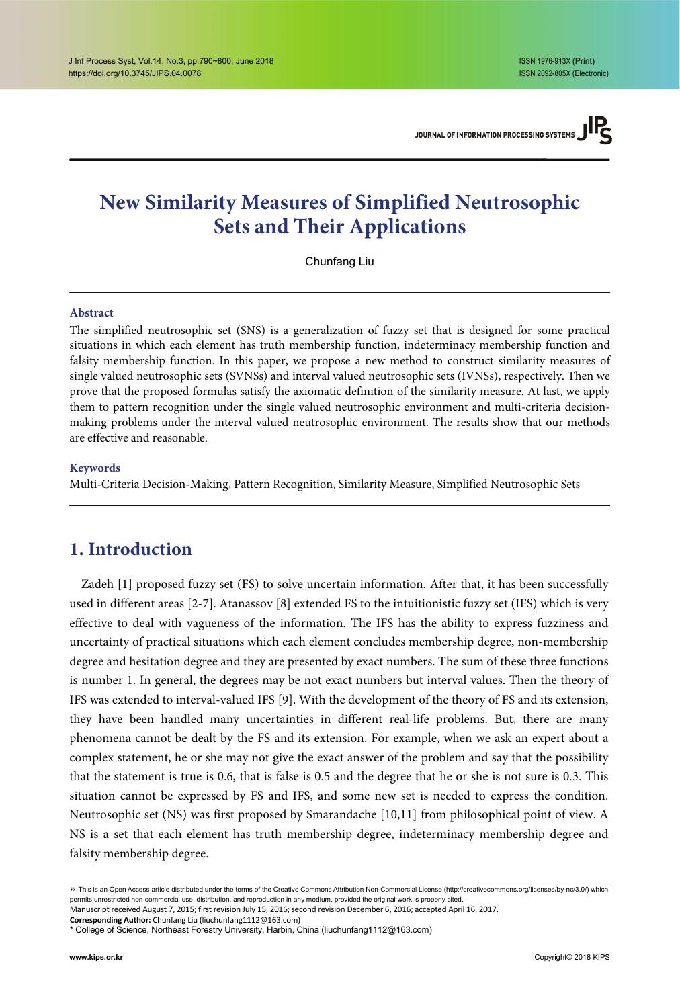# **New Similarity Measures of Simplified Neutrosophic Sets and Their Applications**

Chunfang Liu

#### **Abstract**

The simplified neutrosophic set (SNS) is a generalization of fuzzy set that is designed for some practical situations in which each element has truth membership function, indeterminacy membership function and falsity membership function. In this paper, we propose a new method to construct similarity measures of single valued neutrosophic sets (SVNSs) and interval valued neutrosophic sets (IVNSs), respectively. Then we prove that the proposed formulas satisfy the axiomatic definition of the similarity measure. At last, we apply them to pattern recognition under the single valued neutrosophic environment and multi-criteria decisionmaking problems under the interval valued neutrosophic environment. The results show that our methods are effective and reasonable.

#### **Keywords**

Multi-Criteria Decision-Making, Pattern Recognition, Similarity Measure, Simplified Neutrosophic Sets

# **1. Introduction**

Zadeh [1] proposed fuzzy set (FS) to solve uncertain information. After that, it has been successfully used in different areas [2-7]. Atanassov [8] extended FS to the intuitionistic fuzzy set (IFS) which is very effective to deal with vagueness of the information. The IFS has the ability to express fuzziness and uncertainty of practical situations which each element concludes membership degree, non-membership degree and hesitation degree and they are presented by exact numbers. The sum of these three functions is number 1. In general, the degrees may be not exact numbers but interval values. Then the theory of IFS was extended to interval-valued IFS [9]. With the development of the theory of FS and its extension, they have been handled many uncertainties in different real-life problems. But, there are many phenomena cannot be dealt by the FS and its extension. For example, when we ask an expert about a complex statement, he or she may not give the exact answer of the problem and say that the possibility that the statement is true is 0.6, that is false is 0.5 and the degree that he or she is not sure is 0.3. This situation cannot be expressed by FS and IFS, and some new set is needed to express the condition. Neutrosophic set (NS) was first proposed by Smarandache [10,11] from philosophical point of view. A NS is a set that each element has truth membership degree, indeterminacy membership degree and falsity membership degree.

<sup>※</sup> This is an Open Access article distributed under the terms of the Creative Commons Attribution Non-Commercial License (http://creativecommons.org/licenses/by-nc/3.0/) which permits unrestricted non-commercial use, distribution, and reproduction in any medium, provided the original work is properly cited.

Manuscript received August 7, 2015; first revision July 15, 2016; second revision December 6, 2016; accepted April 16, 2017.

**Corresponding Author:** Chunfang Liu (liuchunfang1112@163.com)

<sup>\*</sup> College of Science, Northeast Forestry University, Harbin, China (liuchunfang1112@163.com)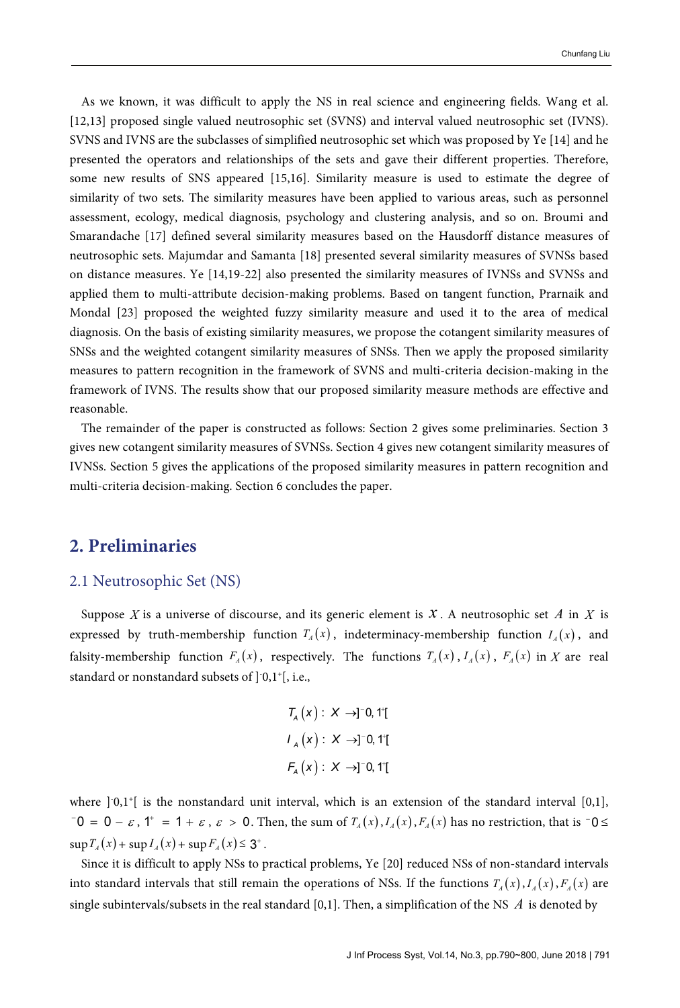As we known, it was difficult to apply the NS in real science and engineering fields. Wang et al. [12,13] proposed single valued neutrosophic set (SVNS) and interval valued neutrosophic set (IVNS). SVNS and IVNS are the subclasses of simplified neutrosophic set which was proposed by Ye [14] and he presented the operators and relationships of the sets and gave their different properties. Therefore, some new results of SNS appeared [15,16]. Similarity measure is used to estimate the degree of similarity of two sets. The similarity measures have been applied to various areas, such as personnel assessment, ecology, medical diagnosis, psychology and clustering analysis, and so on. Broumi and Smarandache [17] defined several similarity measures based on the Hausdorff distance measures of neutrosophic sets. Majumdar and Samanta [18] presented several similarity measures of SVNSs based on distance measures. Ye [14,19-22] also presented the similarity measures of IVNSs and SVNSs and applied them to multi-attribute decision-making problems. Based on tangent function, Prarnaik and Mondal [23] proposed the weighted fuzzy similarity measure and used it to the area of medical diagnosis. On the basis of existing similarity measures, we propose the cotangent similarity measures of SNSs and the weighted cotangent similarity measures of SNSs. Then we apply the proposed similarity measures to pattern recognition in the framework of SVNS and multi-criteria decision-making in the framework of IVNS. The results show that our proposed similarity measure methods are effective and reasonable.

The remainder of the paper is constructed as follows: Section 2 gives some preliminaries. Section 3 gives new cotangent similarity measures of SVNSs. Section 4 gives new cotangent similarity measures of IVNSs. Section 5 gives the applications of the proposed similarity measures in pattern recognition and multi-criteria decision-making. Section 6 concludes the paper.

### **2. Preliminaries**

#### 2.1 Neutrosophic Set (NS)

Suppose *X* is a universe of discourse, and its generic element is  $X$ . A neutrosophic set  $A$  in  $X$  is expressed by truth-membership function  $T_A(x)$ , indeterminacy-membership function  $I_A(x)$ , and falsity-membership function  $F_A(x)$ , respectively. The functions  $T_A(x)$ ,  $I_A(x)$ ,  $F_A(x)$  in X are real standard or nonstandard subsets of ]- 0,1+ [, i.e.,

$$
T_A(x): X \rightarrow ]^-0, 1^{\circ}[
$$
  

$$
I_A(x): X \rightarrow ]^-0, 1^{\circ}[
$$
  

$$
F_A(x): X \rightarrow ]^-0, 1^{\circ}[
$$

where  $] 0,1^{\dagger}$  is the nonstandard unit interval, which is an extension of the standard interval [0,1],  $-0 = 0 - \varepsilon$ ,  $1^+ = 1 + \varepsilon$ ,  $\varepsilon > 0$ . Then, the sum of  $T_A(x)$ ,  $I_A(x)$ ,  $F_A(x)$  has no restriction, that is  $-0 \leq$  $\sup T_A(x) + \sup I_A(x) + \sup F_A(x) \leq 3^+$ .

Since it is difficult to apply NSs to practical problems, Ye [20] reduced NSs of non-standard intervals into standard intervals that still remain the operations of NSs. If the functions  $T_A(x)$ ,  $I_A(x)$ ,  $F_A(x)$  are single subintervals/subsets in the real standard [0,1]. Then, a simplification of the NS  $\Lambda$  is denoted by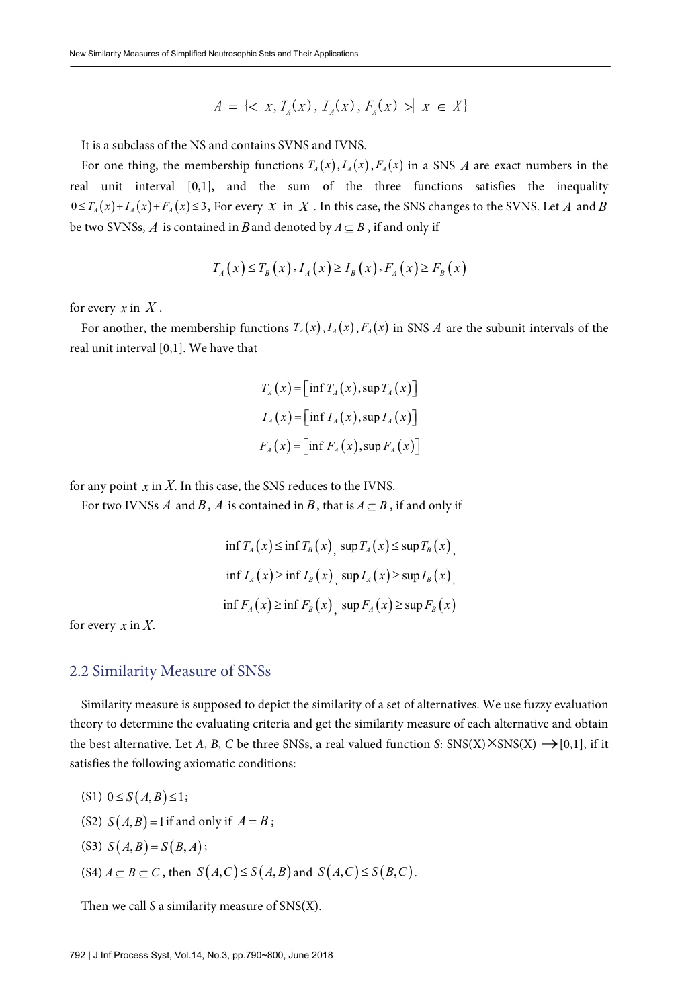$$
A = \{ \langle x, T_A(x), I_A(x), F_A(x) \rangle | x \in X \}
$$

It is a subclass of the NS and contains SVNS and IVNS.

For one thing, the membership functions  $T_A(x)$ ,  $I_A(x)$ ,  $F_A(x)$  in a SNS A are exact numbers in the real unit interval [0,1], and the sum of the three functions satisfies the inequality  $0 \leq T_A(x) + I_A(x) + F_A(x) \leq 3$ , For every *x* in *X*. In this case, the SNS changes to the SVNS. Let *A* and *B* be two SVNSs, *A* is contained in *B* and denoted by  $A \subseteq B$ , if and only if

$$
T_A(x) \le T_B(x), I_A(x) \ge I_B(x), F_A(x) \ge F_B(x)
$$

for every  $x$  in  $X$ .

For another, the membership functions  $T_A(x)$ ,  $I_A(x)$ ,  $F_A(x)$  in SNS A are the subunit intervals of the real unit interval [0,1]. We have that

$$
T_A(x) = \left[\inf T_A(x), \sup T_A(x)\right]
$$
  
\n
$$
I_A(x) = \left[\inf I_A(x), \sup I_A(x)\right]
$$
  
\n
$$
F_A(x) = \left[\inf F_A(x), \sup F_A(x)\right]
$$

for any point  $x$  in  $X$ . In this case, the SNS reduces to the IVNS.

For two IVNSs *A* and *B*, *A* is contained in *B*, that is  $A \subseteq B$ , if and only if

$$
\begin{aligned} &\inf T_A(x) \le \inf T_B(x), \sup T_A(x) \le \sup T_B(x), \\ &\inf I_A(x) \ge \inf I_B(x), \sup I_A(x) \ge \sup I_B(x), \\ &\inf F_A(x) \ge \inf F_B(x), \sup F_A(x) \ge \sup F_B(x) \end{aligned}
$$

for every *x* in *X*.

#### 2.2 Similarity Measure of SNSs

Similarity measure is supposed to depict the similarity of a set of alternatives. We use fuzzy evaluation theory to determine the evaluating criteria and get the similarity measure of each alternative and obtain the best alternative. Let A, B, C be three SNSs, a real valued function S:  $\text{SNS}(X) \times \text{SNS}(X) \rightarrow [0,1]$ , if it satisfies the following axiomatic conditions:

- $(S1)$   $0 \le S(A,B) \le 1$ ;
- (S2)  $S(A, B) = 1$  if and only if  $A = B$ ;
- $(S3) S(A, B) = S(B, A);$
- (S4)  $A \subseteq B \subseteq C$ , then  $S(A, C) \leq S(A, B)$  and  $S(A, C) \leq S(B, C)$ .

Then we call S a similarity measure of SNS(X).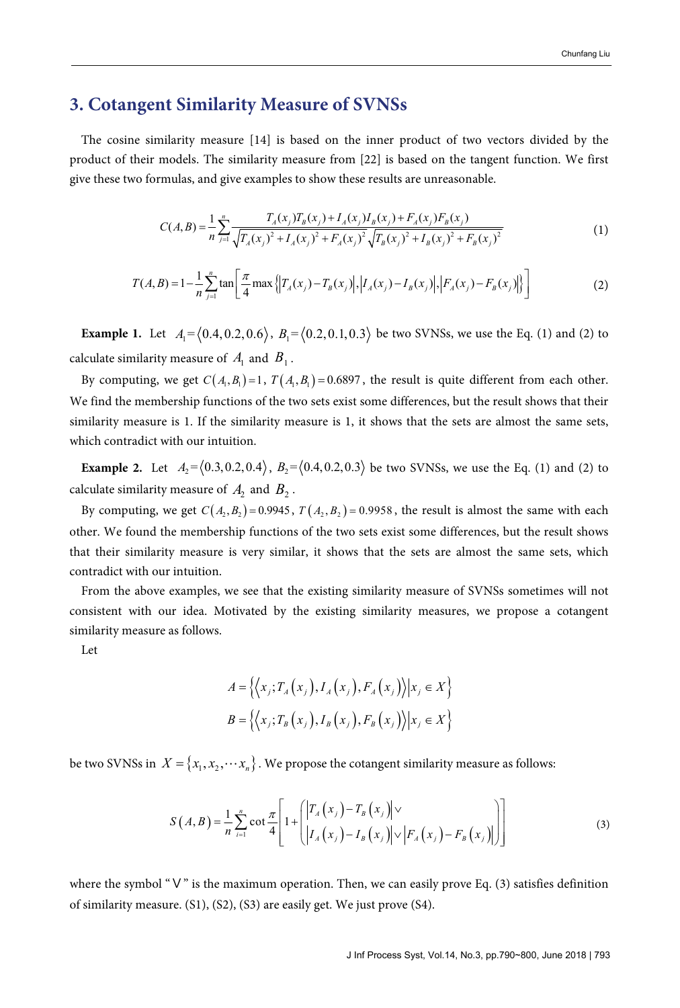## **3. Cotangent Similarity Measure of SVNSs**

The cosine similarity measure [14] is based on the inner product of two vectors divided by the product of their models. The similarity measure from [22] is based on the tangent function. We first give these two formulas, and give examples to show these results are unreasonable.

$$
C(A,B) = \frac{1}{n} \sum_{j=1}^{n} \frac{T_A(x_j)T_B(x_j) + I_A(x_j)I_B(x_j) + F_A(x_j)F_B(x_j)}{\sqrt{T_A(x_j)^2 + I_A(x_j)^2 + F_A(x_j)^2} \sqrt{T_B(x_j)^2 + I_B(x_j)^2 + F_B(x_j)^2}}
$$
(1)

$$
T(A,B) = 1 - \frac{1}{n} \sum_{j=1}^{n} \tan \left[ \frac{\pi}{4} \max \left\{ \left| T_A(x_j) - T_B(x_j) \right|, \left| I_A(x_j) - I_B(x_j) \right|, \left| F_A(x_j) - F_B(x_j) \right| \right\} \right] \tag{2}
$$

**Example 1.** Let  $A_1 = (0.4, 0.2, 0.6)$ ,  $B_1 = (0.2, 0.1, 0.3)$  be two SVNSs, we use the Eq. (1) and (2) to calculate similarity measure of  $A_1$  and  $B_1$ .

By computing, we get  $C(A_1, B_1) = 1$ ,  $T(A_1, B_1) = 0.6897$ , the result is quite different from each other. We find the membership functions of the two sets exist some differences, but the result shows that their similarity measure is 1. If the similarity measure is 1, it shows that the sets are almost the same sets, which contradict with our intuition.

**Example 2.** Let  $A_2 = \langle 0.3, 0.2, 0.4 \rangle$ ,  $B_2 = \langle 0.4, 0.2, 0.3 \rangle$  be two SVNSs, we use the Eq. (1) and (2) to calculate similarity measure of  $A_2$  and  $B_2$ .

By computing, we get  $C(A, B) = 0.9945$ ,  $T(A, B) = 0.9958$ , the result is almost the same with each other. We found the membership functions of the two sets exist some differences, but the result shows that their similarity measure is very similar, it shows that the sets are almost the same sets, which contradict with our intuition.

From the above examples, we see that the existing similarity measure of SVNSs sometimes will not consistent with our idea. Motivated by the existing similarity measures, we propose a cotangent similarity measure as follows.

Let

$$
A = \left\{ \left\langle x_j, T_A(x_j), I_A(x_j), F_A(x_j) \right\rangle | x_j \in X \right\}
$$
  

$$
B = \left\{ \left\langle x_j, T_B(x_j), I_B(x_j), F_B(x_j) \right\rangle | x_j \in X \right\}
$$

be two SVNSs in  $X = \{x_1, x_2, \dots, x_n\}$ . We propose the cotangent similarity measure as follows:

$$
S(A,B) = \frac{1}{n} \sum_{i=1}^{n} \cot \frac{\pi}{4} \left[ 1 + \left( \left| T_A(x_j) - T_B(x_j) \right| \vee \left| F_A(x_j) - F_B(x_j) \right| \right) \right]
$$
(3)

where the symbol "V" is the maximum operation. Then, we can easily prove Eq. (3) satisfies definition of similarity measure. (S1), (S2), (S3) are easily get. We just prove (S4).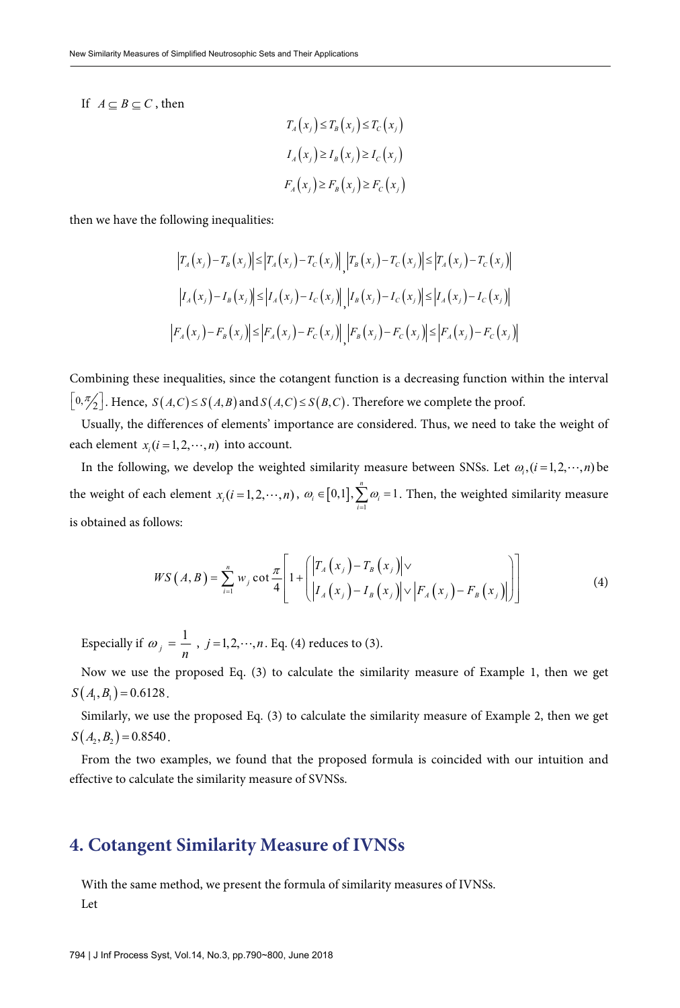If  $A \subset B \subset C$ , then

$$
T_A(x_j) \le T_B(x_j) \le T_C(x_j)
$$
  
\n
$$
I_A(x_j) \ge I_B(x_j) \ge I_C(x_j)
$$
  
\n
$$
F_A(x_j) \ge F_B(x_j) \ge F_C(x_j)
$$

then we have the following inequalities:

$$
\left|T_A(x_j) - T_B(x_j)\right| \le \left|T_A(x_j) - T_C(x_j)\right|, \left|T_B(x_j) - T_C(x_j)\right| \le \left|T_A(x_j) - T_C(x_j)\right|
$$
  

$$
\left|I_A(x_j) - I_B(x_j)\right| \le \left|I_A(x_j) - I_C(x_j)\right|, \left|I_B(x_j) - I_C(x_j)\right| \le \left|I_A(x_j) - I_C(x_j)\right|
$$
  

$$
\left|F_A(x_j) - F_B(x_j)\right| \le \left|F_A(x_j) - F_C(x_j)\right|, \left|F_B(x_j) - F_C(x_j)\right| \le \left|F_A(x_j) - F_C(x_j)\right|
$$

Combining these inequalities, since the cotangent function is a decreasing function within the interval  $\left[0, \frac{\pi}{2}\right]$ . Hence,  $S(A, C) \leq S(A, B)$  and  $S(A, C) \leq S(B, C)$ . Therefore we complete the proof.

Usually, the differences of elements' importance are considered. Thus, we need to take the weight of each element  $x_i$   $(i = 1, 2, \dots, n)$  into account.

In the following, we develop the weighted similarity measure between SNSs. Let  $\omega_{\alpha}(i=1,2,\dots,n)$  be the weight of each element  $x_i ( i = 1, 2, \dots, n )$ ,  $\omega_i \in [0,1], \sum_{i=1}^{n} \omega_i = 1$  $\mathbf{u}_i \in \left[0,1\right], \sum_{i=1}^{\infty} \omega_i$  $\omega \in$  [0.11,  $\lambda$   $\omega$  $\in [0,1], \sum_{i=1}^{\infty} \omega_i = 1$ . Then, the weighted similarity measure is obtained as follows:

$$
WS(A, B) = \sum_{i=1}^{n} w_j \cot \frac{\pi}{4} \left[ 1 + \left( \left| T_A(x_j) - T_B(x_j) \right| \vee \left| F_A(x_j) - F_B(x_j) \right| \right) \right] \tag{4}
$$

Especially if  $\omega_j = \frac{1}{n}$ ,  $j = 1, 2, \dots, n$ . Eq. (4) reduces to (3).

Now we use the proposed Eq. (3) to calculate the similarity measure of Example 1, then we get  $S(A_1, B_1) = 0.6128$ .

Similarly, we use the proposed Eq. (3) to calculate the similarity measure of Example 2, then we get  $S(A_2, B_2) = 0.8540$ .

From the two examples, we found that the proposed formula is coincided with our intuition and effective to calculate the similarity measure of SVNSs.

### **4. Cotangent Similarity Measure of IVNSs**

With the same method, we present the formula of similarity measures of IVNSs. Let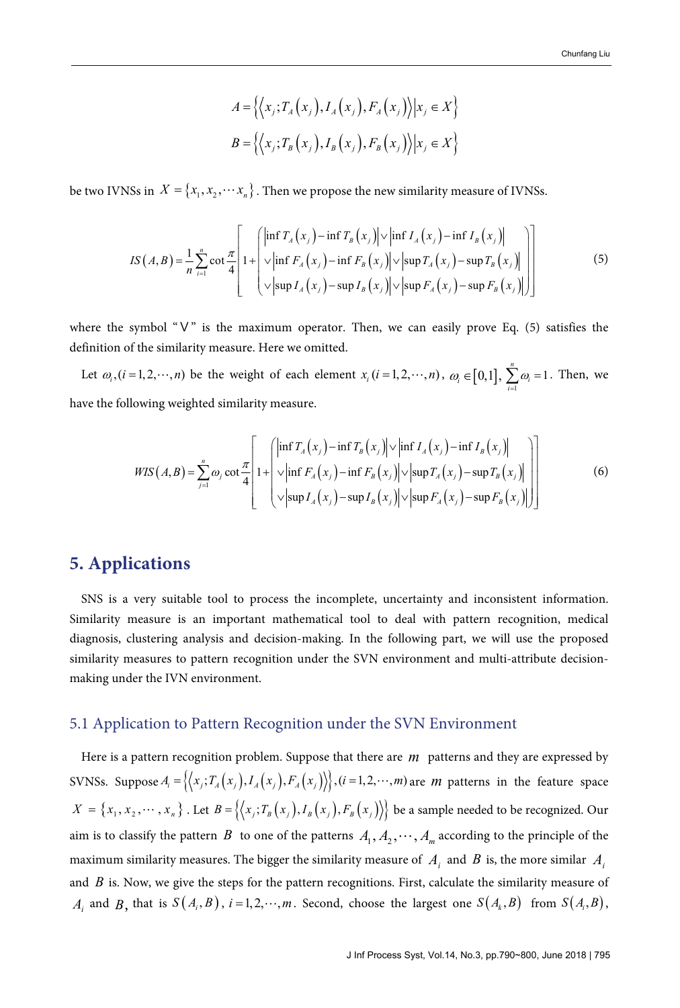$$
A = \left\{ \left\langle x_j, T_A(x_j), I_A(x_j), F_A(x_j) \right\rangle | x_j \in X \right\}
$$
  

$$
B = \left\{ \left\langle x_j, T_B(x_j), I_B(x_j), F_B(x_j) \right\rangle | x_j \in X \right\}
$$

be two IVNSs in  $X = \{x_1, x_2, \dots, x_n\}$ . Then we propose the new similarity measure of IVNSs.

$$
IS(A,B) = \frac{1}{n} \sum_{i=1}^{n} \cot \frac{\pi}{4} \left[ 1 + \left( \frac{\left| \inf T_A(x_j) - \inf T_B(x_j) \right| \vee \left| \inf I_A(x_j) - \inf T_B(x_j) \right|}{\vee \left| \inf F_A(x_j) - \inf F_B(x_j) \right| \vee \left| \sup T_A(x_j) - \sup T_B(x_j) \right|} \right) \right]
$$
(5)

where the symbol "V" is the maximum operator. Then, we can easily prove Eq. (5) satisfies the definition of the similarity measure. Here we omitted.

Let  $\omega_i$ ,  $(i = 1, 2, \dots, n)$  be the weight of each element  $x_i$   $(i = 1, 2, \dots, n)$ ,  $\omega_i \in [0, 1]$ ,  $\sum_{i=1}^{n} \omega_i = 1$  $\sum_{i=1}$ <sup> $\omega_i$ </sup>  $\omega$  $\sum_{i=1}^{\infty} \omega_i = 1$ . Then, we have the following weighted similarity measure.

$$
WIS(A,B) = \sum_{j=1}^{n} \omega_j \cot \frac{\pi}{4} \left[ 1 + \left( \frac{\left| \inf T_A(x_j) - \inf T_B(x_j) \right| \vee \left| \inf I_A(x_j) - \inf T_B(x_j) \right|}{\sqrt{\left| \inf F_A(x_j) - \inf F_B(x_j) \right|} \vee \left| \sup T_A(x_j) - \sup T_B(x_j) \right|} \right] \right]
$$
(6)

# **5. Applications**

SNS is a very suitable tool to process the incomplete, uncertainty and inconsistent information. Similarity measure is an important mathematical tool to deal with pattern recognition, medical diagnosis, clustering analysis and decision-making. In the following part, we will use the proposed similarity measures to pattern recognition under the SVN environment and multi-attribute decisionmaking under the IVN environment.

#### 5.1 Application to Pattern Recognition under the SVN Environment

Here is a pattern recognition problem. Suppose that there are *m* patterns and they are expressed by SVNSs. Suppose  $A_i = \left\{ (x_i, T_A(x_j), I_A(x_j), F_A(x_j)) \right\}$ ,  $(i = 1, 2, \dots, m)$  are *m* patterns in the feature space  $X = \{x_1, x_2, \dots, x_n\}$ . Let  $B = \{\langle x_i, T_B(x_i), I_B(x_i), F_B(x_i) \rangle\}$  be a sample needed to be recognized. Our aim is to classify the pattern *B* to one of the patterns  $A_1, A_2, \dots, A_m$  according to the principle of the maximum similarity measures. The bigger the similarity measure of  $A_i$  and  $B$  is, the more similar  $A_i$ and *B* is. Now, we give the steps for the pattern recognitions. First, calculate the similarity measure of  $A_i$  and  $B_j$ , that is  $S(A_i, B)$ ,  $i = 1, 2, \dots, m$ . Second, choose the largest one  $S(A_k, B)$  from  $S(A_i, B)$ ,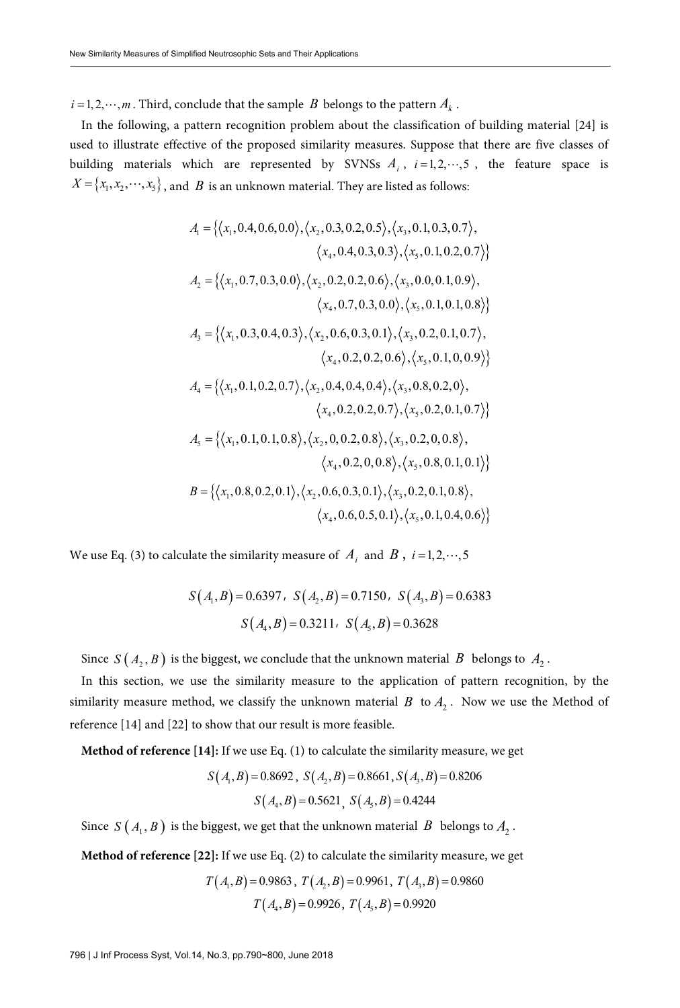$i = 1, 2, \dots, m$ . Third, conclude that the sample *B* belongs to the pattern  $A_k$ .

In the following, a pattern recognition problem about the classification of building material [24] is used to illustrate effective of the proposed similarity measures. Suppose that there are five classes of building materials which are represented by SVNSs  $A_i$ ,  $i=1,2,\dots,5$ , the feature space is  $X = \{x_1, x_2, \dots, x_s\}$ , and *B* is an unknown material. They are listed as follows:

$$
A_{1} = \{ \langle x_{1}, 0.4, 0.6, 0.0 \rangle, \langle x_{2}, 0.3, 0.2, 0.5 \rangle, \langle x_{3}, 0.1, 0.3, 0.7 \rangle, \\ \langle x_{4}, 0.4, 0.3, 0.3 \rangle, \langle x_{5}, 0.1, 0.2, 0.7 \rangle \}
$$
  

$$
A_{2} = \{ \langle x_{1}, 0.7, 0.3, 0.0 \rangle, \langle x_{2}, 0.2, 0.2, 0.6 \rangle, \langle x_{3}, 0.0, 0.1, 0.9 \rangle, \\ \langle x_{4}, 0.7, 0.3, 0.0 \rangle, \langle x_{5}, 0.1, 0.1, 0.8 \rangle \}
$$
  

$$
A_{3} = \{ \langle x_{1}, 0.3, 0.4, 0.3 \rangle, \langle x_{2}, 0.6, 0.3, 0.1 \rangle, \langle x_{3}, 0.2, 0.1, 0.7 \rangle, \\ \langle x_{4}, 0.2, 0.2, 0.6 \rangle, \langle x_{5}, 0.1, 0, 0.9 \rangle \}
$$
  

$$
A_{4} = \{ \langle x_{1}, 0.1, 0.2, 0.7 \rangle, \langle x_{2}, 0.4, 0.4, 0.4 \rangle, \langle x_{3}, 0.8, 0.2, 0 \rangle, \\ \langle x_{4}, 0.2, 0.2, 0.7 \rangle, \langle x_{5}, 0.2, 0.1, 0.7 \rangle \}
$$
  

$$
A_{5} = \{ \langle x_{1}, 0.1, 0.1, 0.8 \rangle, \langle x_{2}, 0, 0.2, 0.8 \rangle, \langle x_{3}, 0.2, 0.2, 0.8 \rangle, \\ \langle x_{4}, 0.2, 0.9, 0.8 \rangle, \langle x_{5}, 0.8, 0.1, 0.1 \rangle \}
$$
  

$$
B = \{ \langle x_{1}, 0.8, 0.2, 0.1 \rangle, \langle x_{2}, 0.6, 0.3, 0.1 \rangle, \langle x_{3}, 0.2, 0.1, 0.8 \rangle, \\ \langle x_{4}, 0.6, 0.5, 0.1 \rangle, \langle x
$$

We use Eq. (3) to calculate the similarity measure of  $A_i$  and  $B$ ,  $i=1,2,\dots,5$ 

$$
S(A_1, B) = 0.6397
$$
,  $S(A_2, B) = 0.7150$ ,  $S(A_3, B) = 0.6383$   
 $S(A_4, B) = 0.3211$ ,  $S(A_5, B) = 0.3628$ 

Since  $S(A_2, B)$  is the biggest, we conclude that the unknown material *B* belongs to  $A_2$ .

In this section, we use the similarity measure to the application of pattern recognition, by the similarity measure method, we classify the unknown material  $B$  to  $A_2$ . Now we use the Method of reference [14] and [22] to show that our result is more feasible.

**Method of reference [14]:** If we use Eq. (1) to calculate the similarity measure, we get

$$
S(A_1, B) = 0.8692
$$
,  $S(A_2, B) = 0.8661$ ,  $S(A_3, B) = 0.8206$   
 $S(A_4, B) = 0.5621$ ,  $S(A_5, B) = 0.4244$ 

Since  $S(A_1, B)$  is the biggest, we get that the unknown material *B* belongs to  $A_2$ .

**Method of reference [22]:** If we use Eq. (2) to calculate the similarity measure, we get

$$
T(A_1, B) = 0.9863
$$
,  $T(A_2, B) = 0.9961$ ,  $T(A_3, B) = 0.9860$   
 $T(A_4, B) = 0.9926$ ,  $T(A_5, B) = 0.9920$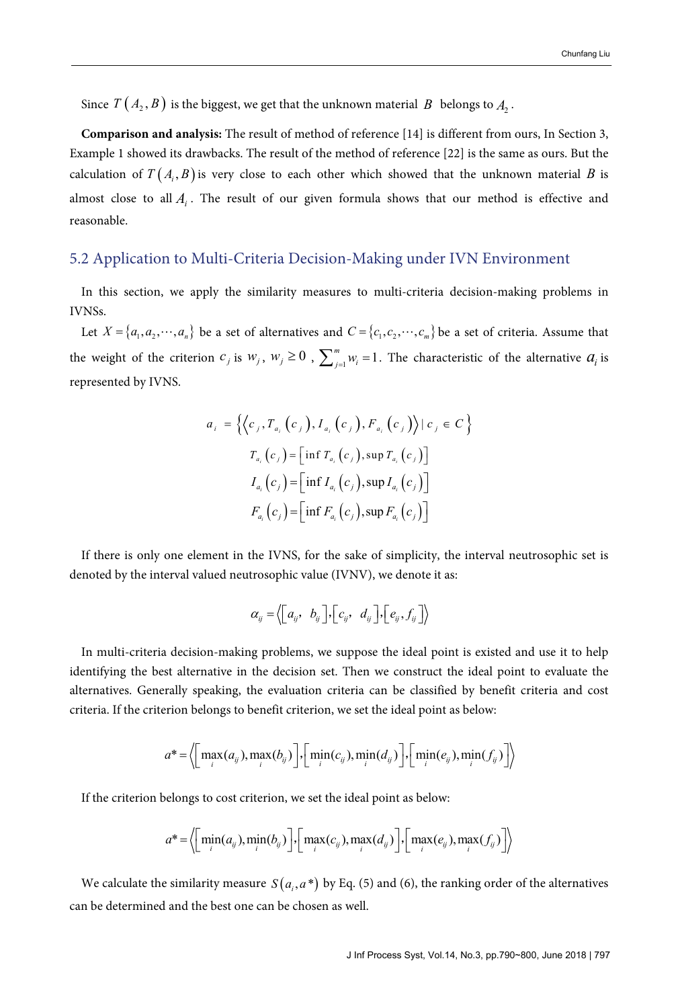Since  $T(A_2, B)$  is the biggest, we get that the unknown material *B* belongs to  $A_2$ .

**Comparison and analysis:** The result of method of reference [14] is different from ours, In Section 3, Example 1 showed its drawbacks. The result of the method of reference [22] is the same as ours. But the calculation of  $T(A_i, B)$  is very close to each other which showed that the unknown material *B* is almost close to all  $A_i$ . The result of our given formula shows that our method is effective and reasonable.

#### 5.2 Application to Multi-Criteria Decision-Making under IVN Environment

In this section, we apply the similarity measures to multi-criteria decision-making problems in IVNSs.

Let  $X = \{a_1, a_2, \dots, a_n\}$  be a set of alternatives and  $C = \{c_1, c_2, \dots, c_m\}$  be a set of criteria. Assume that the weight of the criterion  $c_j$  is  $w_j$ ,  $w_j \ge 0$ ,  $\sum_{j=1}^m w_j = 1$ . The characteristic of the alternative  $a_j$  is represented by IVNS.

$$
a_{i} = \left\{ \left\langle c_{j}, T_{a_{i}}(c_{j}), I_{a_{i}}(c_{j}), F_{a_{i}}(c_{j}) \right\rangle | c_{j} \in C \right\}
$$
  

$$
T_{a_{i}}(c_{j}) = \left[ \inf T_{a_{i}}(c_{j}), \sup T_{a_{i}}(c_{j}) \right]
$$
  

$$
I_{a_{i}}(c_{j}) = \left[ \inf I_{a_{i}}(c_{j}), \sup I_{a_{i}}(c_{j}) \right]
$$
  

$$
F_{a_{i}}(c_{j}) = \left[ \inf F_{a_{i}}(c_{j}), \sup F_{a_{i}}(c_{j}) \right]
$$

If there is only one element in the IVNS, for the sake of simplicity, the interval neutrosophic set is denoted by the interval valued neutrosophic value (IVNV), we denote it as:

$$
\alpha_{ij} = \big\langle \begin{bmatrix} a_{ij}, & b_{ij} \end{bmatrix}, \begin{bmatrix} c_{ij}, & d_{ij} \end{bmatrix}, \begin{bmatrix} e_{ij}, f_{ij} \end{bmatrix} \big\rangle
$$

In multi-criteria decision-making problems, we suppose the ideal point is existed and use it to help identifying the best alternative in the decision set. Then we construct the ideal point to evaluate the alternatives. Generally speaking, the evaluation criteria can be classified by benefit criteria and cost criteria. If the criterion belongs to benefit criterion, we set the ideal point as below:

$$
a^* = \left\langle \left[\max_i(a_{ij}), \max_i(b_{ij})\right], \left[\min_i(c_{ij}), \min_i(d_{ij})\right], \left[\min_i(e_{ij}), \min_i(f_{ij})\right]\right\rangle
$$

If the criterion belongs to cost criterion, we set the ideal point as below:

$$
a^* = \left\langle \left[\min_i(a_{ij}), \min_i(b_{ij})\right], \left[\max_i(c_{ij}), \max_i(d_{ij})\right], \left[\max_i(e_{ij}), \max_i(f_{ij})\right]\right\rangle
$$

We calculate the similarity measure  $S(a_i, a^*)$  by Eq. (5) and (6), the ranking order of the alternatives can be determined and the best one can be chosen as well.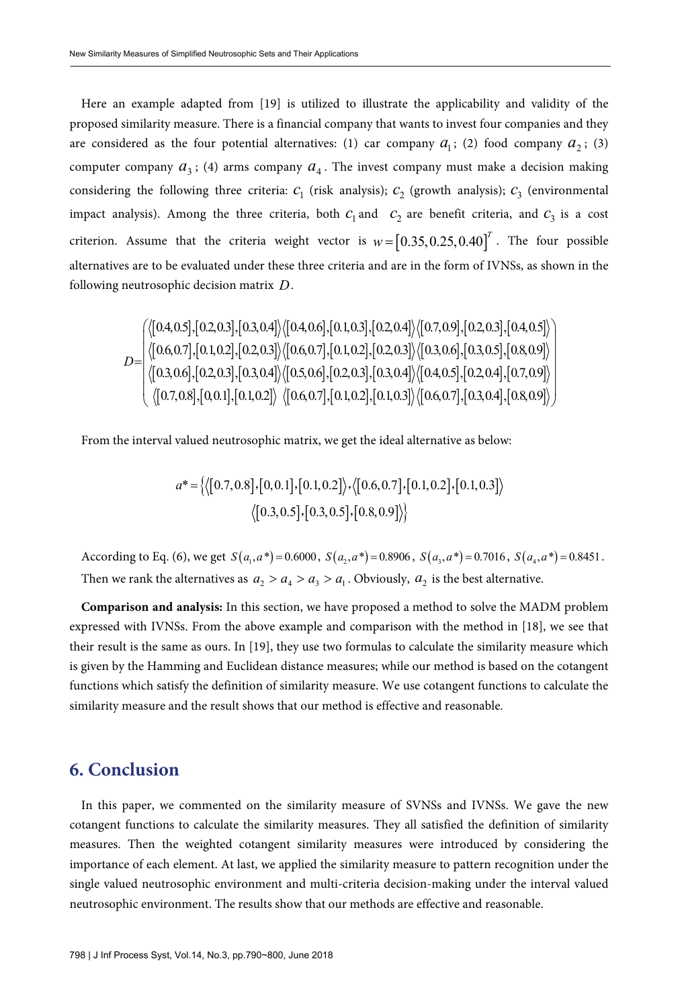Here an example adapted from [19] is utilized to illustrate the applicability and validity of the proposed similarity measure. There is a financial company that wants to invest four companies and they are considered as the four potential alternatives: (1) car company  $a<sub>1</sub>$ ; (2) food company  $a<sub>2</sub>$ ; (3) computer company  $a_3$ ; (4) arms company  $a_4$ . The invest company must make a decision making considering the following three criteria:  $c_1$  (risk analysis);  $c_2$  (growth analysis);  $c_3$  (environmental impact analysis). Among the three criteria, both  $c_1$  and  $c_2$  are benefit criteria, and  $c_3$  is a cost criterion. Assume that the criteria weight vector is  $w = [0.35,0.25,0.40]^T$ . The four possible alternatives are to be evaluated under these three criteria and are in the form of IVNSs, as shown in the following neutrosophic decision matrix *D*.

$$
D=\begin{pmatrix} \langle [0.4, 0.5], [0.2, 0.3], [0.3, 0.4] \rangle \langle [0.4, 0.6], [0.1, 0.3], [0.2, 0.4] \rangle \langle [0.7, 0.9], [0.2, 0.3], [0.4, 0.5] \rangle \\ \langle [0.6, 0.7], [0.1, 0.2], [0.2, 0.3] \rangle \langle [0.6, 0.7], [0.1, 0.2], [0.2, 0.3] \rangle \langle [0.3, 0.6], [0.3, 0.5], [0.8, 0.9] \rangle \\ \langle [0.3, 0.6], [0.2, 0.3], [0.3, 0.4] \rangle \langle [0.5, 0.6], [0.2, 0.3], [0.3, 0.4] \rangle \langle [0.4, 0.5], [0.2, 0.4], [0.7, 0.9] \rangle \\ \langle [0.7, 0.8], [0, 0.1], [0.1, 0.2] \rangle \langle [0.6, 0.7], [0.1, 0.2], [0.1, 0.3] \rangle \langle [0.6, 0.7], [0.3, 0.4], [0.8, 0.9] \rangle \end{pmatrix}
$$

From the interval valued neutrosophic matrix, we get the ideal alternative as below:

$$
a^* = \{ \langle [0.7, 0.8], [0, 0.1], [0.1, 0.2] \rangle, \langle [0.6, 0.7], [0.1, 0.2], [0.1, 0.3] \rangle \rangle \langle [0.3, 0.5], [0.3, 0.5], [0.8, 0.9] \rangle \}
$$

According to Eq. (6), we get  $S(a_1, a^*) = 0.6000$ ,  $S(a_2, a^*) = 0.8906$ ,  $S(a_3, a^*) = 0.7016$ ,  $S(a_4, a^*) = 0.8451$ . Then we rank the alternatives as  $a_2 > a_4 > a_3 > a_1$ . Obviously,  $a_2$  is the best alternative.

**Comparison and analysis:** In this section, we have proposed a method to solve the MADM problem expressed with IVNSs. From the above example and comparison with the method in [18], we see that their result is the same as ours. In [19], they use two formulas to calculate the similarity measure which is given by the Hamming and Euclidean distance measures; while our method is based on the cotangent functions which satisfy the definition of similarity measure. We use cotangent functions to calculate the similarity measure and the result shows that our method is effective and reasonable.

#### **6. Conclusion**

In this paper, we commented on the similarity measure of SVNSs and IVNSs. We gave the new cotangent functions to calculate the similarity measures. They all satisfied the definition of similarity measures. Then the weighted cotangent similarity measures were introduced by considering the importance of each element. At last, we applied the similarity measure to pattern recognition under the single valued neutrosophic environment and multi-criteria decision-making under the interval valued neutrosophic environment. The results show that our methods are effective and reasonable.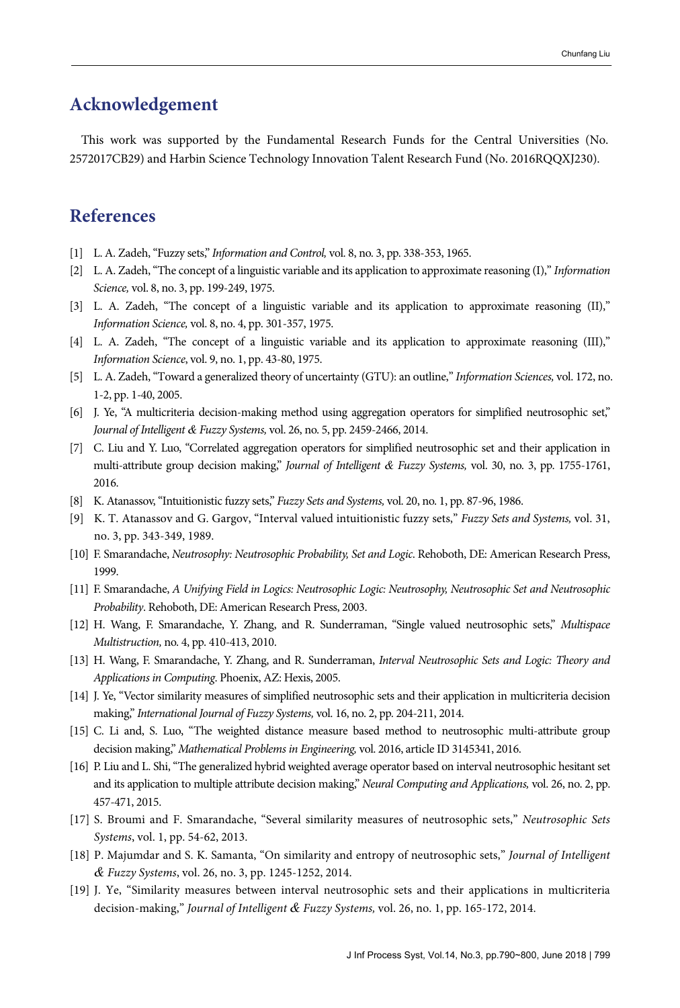# **Acknowledgement**

This work was supported by the Fundamental Research Funds for the Central Universities (No. 2572017CB29) and Harbin Science Technology Innovation Talent Research Fund (No. 2016RQQXJ230).

### **References**

- [1] L. A. Zadeh, "Fuzzy sets," Information and Control, vol. 8, no. 3, pp. 338-353, 1965.
- [2] L. A. Zadeh, "The concept of a linguistic variable and its application to approximate reasoning (I)," Information Science, vol. 8, no. 3, pp. 199-249, 1975.
- [3] L. A. Zadeh, "The concept of a linguistic variable and its application to approximate reasoning (II)," Information Science, vol. 8, no. 4, pp. 301-357, 1975.
- [4] L. A. Zadeh, "The concept of a linguistic variable and its application to approximate reasoning (III)," Information Science, vol. 9, no. 1, pp. 43-80, 1975.
- [5] L. A. Zadeh, "Toward a generalized theory of uncertainty (GTU): an outline," Information Sciences, vol. 172, no. 1-2, pp. 1-40, 2005.
- [6] J. Ye, "A multicriteria decision-making method using aggregation operators for simplified neutrosophic set," Journal of Intelligent *&* Fuzzy Systems, vol. 26, no. 5, pp. 2459-2466, 2014.
- [7] C. Liu and Y. Luo, "Correlated aggregation operators for simplified neutrosophic set and their application in multi-attribute group decision making," Journal of Intelligent *&* Fuzzy Systems, vol. 30, no. 3, pp. 1755-1761, 2016.
- [8] K. Atanassov, "Intuitionistic fuzzy sets," Fuzzy Sets and Systems, vol. 20, no. 1, pp. 87-96, 1986.
- [9] K. T. Atanassov and G. Gargov, "Interval valued intuitionistic fuzzy sets," Fuzzy Sets and Systems, vol. 31, no. 3, pp. 343-349, 1989.
- [10] F. Smarandache, Neutrosophy: Neutrosophic Probability, Set and Logic. Rehoboth, DE: American Research Press, 1999.
- [11] F. Smarandache, A Unifying Field in Logics: Neutrosophic Logic: Neutrosophy, Neutrosophic Set and Neutrosophic Probability. Rehoboth, DE: American Research Press, 2003.
- [12] H. Wang, F. Smarandache, Y. Zhang, and R. Sunderraman, "Single valued neutrosophic sets," Multispace Multistruction, no. 4, pp. 410-413, 2010.
- [13] H. Wang, F. Smarandache, Y. Zhang, and R. Sunderraman, Interval Neutrosophic Sets and Logic: Theory and Applications in Computing. Phoenix, AZ: Hexis, 2005.
- [14] J. Ye, "Vector similarity measures of simplified neutrosophic sets and their application in multicriteria decision making," International Journal of Fuzzy Systems, vol. 16, no. 2, pp. 204-211, 2014.
- [15] C. Li and, S. Luo, "The weighted distance measure based method to neutrosophic multi-attribute group decision making," Mathematical Problems in Engineering, vol. 2016, article ID 3145341, 2016.
- [16] P. Liu and L. Shi, "The generalized hybrid weighted average operator based on interval neutrosophic hesitant set and its application to multiple attribute decision making," Neural Computing and Applications, vol. 26, no. 2, pp. 457-471, 2015.
- [17] S. Broumi and F. Smarandache, "Several similarity measures of neutrosophic sets," Neutrosophic Sets Systems, vol. 1, pp. 54-62, 2013.
- [18] P. Majumdar and S. K. Samanta, "On similarity and entropy of neutrosophic sets," Journal of Intelligent *&* Fuzzy Systems, vol. 26, no. 3, pp. 1245-1252, 2014.
- [19] J. Ye, "Similarity measures between interval neutrosophic sets and their applications in multicriteria decision-making," Journal of Intelligent *&* Fuzzy Systems, vol. 26, no. 1, pp. 165-172, 2014.